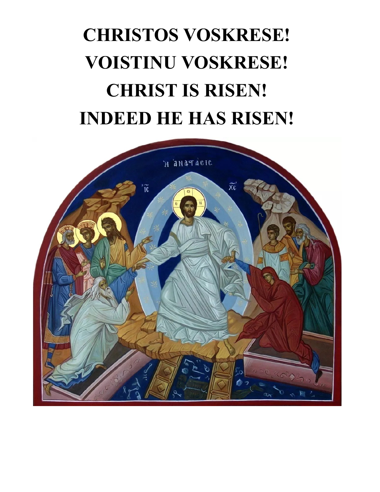# **CHRISTOS VOSKRESE! VOISTINU VOSKRESE! CHRIST IS RISEN! INDEED HE HAS RISEN!**

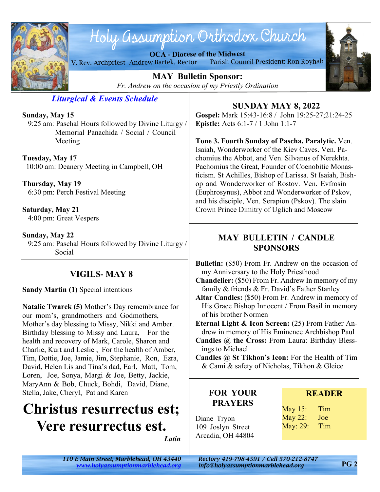

## Holy assumption Orthodox Church

**OCA - Diocese of the Midwest** V. Rev. Archpriest Andrew Bartek, Rector Parish Council President: Ron Royhab



**MAY Bulletin Sponsor:** *Fr. Andrew on the occasion of my Priestly Ordination*

*Liturgical & Events Schedule*

**Sunday, May 15**

 9:25 am: Paschal Hours followed by Divine Liturgy / Memorial Panachida / Social / Council Meeting

**Tuesday, May 17** 10:00 am: Deanery Meeting in Campbell, OH

**Thursday, May 19** 6:30 pm: Perch Festival Meeting

**Saturday, May 21** 4:00 pm: Great Vespers

**Sunday, May 22** 9:25 am: Paschal Hours followed by Divine Liturgy / Social

#### **VIGILS- MAY 8**

**Sandy Martin (1)** Special intentions

**Natalie Twarek (5)** Mother's Day remembrance for our mom's, grandmothers and Godmothers, Mother's day blessing to Missy, Nikki and Amber. Birthday blessing to Missy and Laura, For the health and recovery of Mark, Carole, Sharon and Charlie, Kurt and Leslie , For the health of Amber, Tim, Dottie, Joe, Jamie, Jim, Stephanie, Ron, Ezra, David, Helen Lis and Tina's dad, Earl, Matt, Tom, Loren, Joe, Sonya, Margi & Joe, Betty, Jackie, MaryAnn & Bob, Chuck, Bohdi, David, Diane, Stella, Jake, Cheryl, Pat and Karen

### **Christus resurrectus est; Vere resurrectus est.**

*Latin*

**SUNDAY MAY 8, 2022**

**Gospel:** Mark 15:43-16:8 / John 19:25-27;21:24-25 **Epistle:** Acts 6:1-7 / 1 John 1:1-7

**Tone 3. Fourth Sunday of Pascha. Paralytic.** Ven. Isaiah, Wonderworker of the Kiev Caves. Ven. Pachomius the Abbot, and Ven. Silvanus of Nerekhta. Pachomius the Great, Founder of Coenobitic Monasticism. St Achilles, Bishop of Larissa. St Isaiah, Bishop and Wonderworker of Rostov. Ven. Evfrosin (Euphrosynus), Abbot and Wonderworker of Pskov, and his disciple, Ven. Serapion (Pskov). The slain Crown Prince Dimitry of Uglich and Moscow

#### **MAY BULLETIN / CANDLE SPONSORS**

**Bulletin:** (\$50) From Fr. Andrew on the occasion of my Anniversary to the Holy Priesthood

**Chandelier:** (\$50) From Fr. Andrew In memory of my family & friends & Fr. David's Father Stanley

**Altar Candles:** (\$50) From Fr. Andrew in memory of His Grace Bishop Innocent / From Basil in memory of his brother Normen

**Eternal Light & Icon Screen:** (25) From Father Andrew in memory of His Eminence Archbishop Paul

**Candles @ the Cross:** From Laura: Birthday Blessings to Michael

**Candles @ St Tikhon's Icon:** For the Health of Tim & Cami & safety of Nicholas, Tikhon & Gleice

#### **FOR YOUR PRAYERS**

Diane Tryon 109 Joslyn Street Arcadia, OH 44804

#### **READER**

May 15: Tim May 22: Joe May: 29: Tim

*110 E Main Street, Marblehead, OH 43440 Rectory 419-798-4591 / Cell 570-212-8747*

*<www.holyassumptionmarblehead.org> info@holyassumptionmarblehead.org*

**PG 2**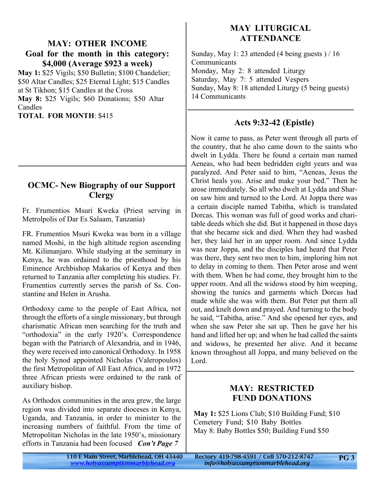#### **MAY: OTHER INCOME Goal for the month in this category: \$4,000 (Average \$923 a week)**

**May 1:** \$25 Vigils; \$50 Bulletin; \$100 Chandelier; \$50 Altar Candles; \$25 Eternal Light; \$15 Candles at St Tikhon; \$15 Candles at the Cross **May 8:** \$25 Vigils; \$60 Donations; \$50 Altar Candles

**TOTAL FOR MONTH**: \$415

#### **OCMC- New Biography of our Support Clergy**

Fr. Frumentios Msuri Kweka (Priest serving in Metrolpolis of Dar Es Salaam, Tanzania)

FR. Frumentios Msuri Kweka was born in a village named Moshi, in the high altitude region ascending Mt. Kilimanjaro. While studying at the seminary in Kenya, he was ordained to the priesthood by his Eminence Archbishop Makarios of Kenya and then returned to Tanzania after completing his studies. Fr. Frumentios currently serves the parish of Ss. Constantine and Helen in Arusha.

Orthodoxy came to the people of East Africa, not through the efforts of a single missionary, but through charismatic African men searching for the truth and "orthodoxia" in the early 1920's. Correspondence began with the Patriarch of Alexandria, and in 1946, they were received into canonical Orthodoxy. In 1958 the holy Synod appointed Nicholas (Valeropoulos) the first Metropolitan of All East Africa, and in 1972 three African priests were ordained to the rank of auxiliary bishop.

As Orthodox communities in the area grew, the large region was divided into separate dioceses in Kenya, Uganda, and Tanzania, in order to minister to the increasing numbers of faithful. From the time of Metropolitan Nicholas in the late 1950's, missionary efforts in Tanzania had been focused *Con't Page 7*

#### **MAY LITURGICAL ATTENDANCE**

Sunday, May 1: 23 attended (4 being guests ) / 16 **Communicants** Monday, May 2: 8 attended Liturgy Saturday, May 7: 5 attended Vespers Sunday, May 8: 18 attended Liturgy (5 being guests) 14 Communicants

#### **Acts 9:32-42 (Epistle)**

Now it came to pass, as Peter went through all parts of the country, that he also came down to the saints who dwelt in Lydda. There he found a certain man named Aeneas, who had been bedridden eight years and was paralyzed. And Peter said to him, "Aeneas, Jesus the Christ heals you. Arise and make your bed." Then he arose immediately. So all who dwelt at Lydda and Sharon saw him and turned to the Lord. At Joppa there was a certain disciple named Tabitha, which is translated Dorcas. This woman was full of good works and charitable deeds which she did. But it happened in those days that she became sick and died. When they had washed her, they laid her in an upper room. And since Lydda was near Joppa, and the disciples had heard that Peter was there, they sent two men to him, imploring him not to delay in coming to them. Then Peter arose and went with them. When he had come, they brought him to the upper room. And all the widows stood by him weeping, showing the tunics and garments which Dorcas had made while she was with them. But Peter put them all out, and knelt down and prayed. And turning to the body he said, "Tabitha, arise." And she opened her eyes, and when she saw Peter she sat up. Then he gave her his hand and lifted her up; and when he had called the saints and widows, he presented her alive. And it became known throughout all Joppa, and many believed on the Lord.

#### **MAY: RESTRICTED FUND DONATIONS**

**May 1:** \$25 Lions Club; \$10 Building Fund; \$10 Cemetery Fund; \$10 Baby Bottles May 8: Baby Bottles \$50; Building Fund \$50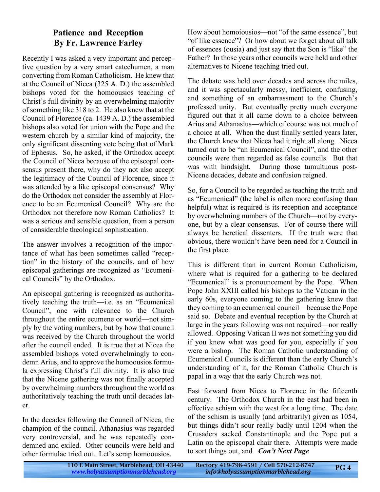#### **Patience and Reception By Fr. Lawrence Farley**

Recently I was asked a very important and perceptive question by a very smart catechumen, a man converting from Roman Catholicism. He knew that at the Council of Nicea (325 A. D.) the assembled bishops voted for the homoousios teaching of Christ's full divinity by an overwhelming majority of something like 318 to 2. He also knew that at the Council of Florence (ca. 1439 A. D.) the assembled bishops also voted for union with the Pope and the western church by a similar kind of majority, the only significant dissenting vote being that of Mark of Ephesus. So, he asked, if the Orthodox accept the Council of Nicea because of the episcopal consensus present there, why do they not also accept the legitimacy of the Council of Florence, since it was attended by a like episcopal consensus? Why do the Orthodox not consider the assembly at Florence to be an Ecumenical Council? Why are the Orthodox not therefore now Roman Catholics? It was a serious and sensible question, from a person of considerable theological sophistication.

The answer involves a recognition of the importance of what has been sometimes called "reception" in the history of the councils, and of how episcopal gatherings are recognized as "Ecumenical Councils" by the Orthodox.

An episcopal gathering is recognized as authoritatively teaching the truth—i.e. as an "Ecumenical Council", one with relevance to the Church throughout the entire ecumene or world—not simply by the voting numbers, but by how that council was received by the Church throughout the world after the council ended. It is true that at Nicea the assembled bishops voted overwhelmingly to condemn Arius, and to approve the homoousios formula expressing Christ's full divinity. It is also true that the Nicene gathering was not finally accepted by overwhelming numbers throughout the world as authoritatively teaching the truth until decades later.

In the decades following the Council of Nicea, the champion of the council, Athanasius was regarded very controversial, and he was repeatedly condemned and exiled. Other councils were held and other formulae tried out. Let's scrap homoousios.

How about homoiousios—not "of the same essence", but "of like essence"? Or how about we forget about all talk of essences (ousia) and just say that the Son is "like" the Father? In those years other councils were held and other alternatives to Nicene teaching tried out.

The debate was held over decades and across the miles, and it was spectacularly messy, inefficient, confusing, and something of an embarrassment to the Church's professed unity. But eventually pretty much everyone figured out that it all came down to a choice between Arius and Athanasius—which of course was not much of a choice at all. When the dust finally settled years later, the Church knew that Nicea had it right all along. Nicea turned out to be "an Ecumenical Council", and the other councils were then regarded as false councils. But that was with hindsight. During those tumultuous post-Nicene decades, debate and confusion reigned.

So, for a Council to be regarded as teaching the truth and as "Ecumenical" (the label is often more confusing than helpful) what is required is its reception and acceptance by overwhelming numbers of the Church—not by everyone, but by a clear consensus. For of course there will always be heretical dissenters. If the truth were that obvious, there wouldn't have been need for a Council in the first place.

This is different than in current Roman Catholicism, where what is required for a gathering to be declared "Ecumenical" is a pronouncement by the Pope. When Pope John XXIII called his bishops to the Vatican in the early 60s, everyone coming to the gathering knew that they coming to an ecumenical council—because the Pope said so. Debate and eventual reception by the Church at large in the years following was not required—nor really allowed. Opposing Vatican II was not something you did if you knew what was good for you, especially if you were a bishop. The Roman Catholic understanding of Ecumenical Councils is different than the early Church's understanding of it, for the Roman Catholic Church is papal in a way that the early Church was not.

Fast forward from Nicea to Florence in the fifteenth century. The Orthodox Church in the east had been in effective schism with the west for a long time. The date of the schism is usually (and arbitrarily) given as 1054, but things didn't sour really badly until 1204 when the Crusaders sacked Constantinople and the Pope put a Latin on the episcopal chair there. Attempts were made to sort things out, and *Con't Next Page*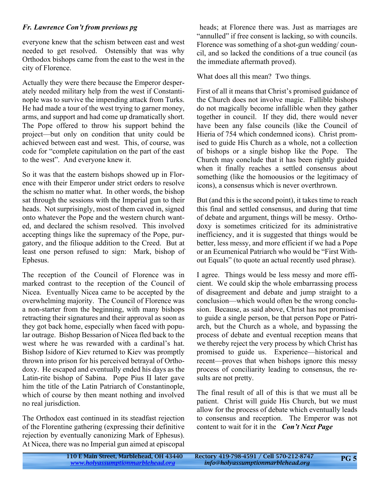#### *Fr. Lawrence Con't from previous pg*

everyone knew that the schism between east and west needed to get resolved. Ostensibly that was why Orthodox bishops came from the east to the west in the city of Florence.

Actually they were there because the Emperor desperately needed military help from the west if Constantinople was to survive the impending attack from Turks. He had made a tour of the west trying to garner money, arms, and support and had come up dramatically short. The Pope offered to throw his support behind the project—but only on condition that unity could be achieved between east and west. This, of course, was code for "complete capitulation on the part of the east to the west". And everyone knew it.

So it was that the eastern bishops showed up in Florence with their Emperor under strict orders to resolve the schism no matter what. In other words, the bishop sat through the sessions with the Imperial gun to their heads. Not surprisingly, most of them caved in, signed onto whatever the Pope and the western church wanted, and declared the schism resolved. This involved accepting things like the supremacy of the Pope, purgatory, and the filioque addition to the Creed. But at least one person refused to sign: Mark, bishop of Ephesus.

The reception of the Council of Florence was in marked contrast to the reception of the Council of Nicea. Eventually Nicea came to be accepted by the overwhelming majority. The Council of Florence was a non-starter from the beginning, with many bishops retracting their signatures and their approval as soon as they got back home, especially when faced with popular outrage. Bishop Bessarion of Nicea fled back to the west where he was rewarded with a cardinal's hat. Bishop Isidore of Kiev returned to Kiev was promptly thrown into prison for his perceived betrayal of Orthodoxy. He escaped and eventually ended his days as the Latin-rite bishop of Sabina. Pope Pius II later gave him the title of the Latin Patriarch of Constantinople, which of course by then meant nothing and involved no real jurisdiction.

The Orthodox east continued in its steadfast rejection of the Florentine gathering (expressing their definitive rejection by eventually canonizing Mark of Ephesus). At Nicea, there was no Imperial gun aimed at episcopal

 heads; at Florence there was. Just as marriages are "annulled" if free consent is lacking, so with councils. Florence was something of a shot-gun wedding/ council, and so lacked the conditions of a true council (as the immediate aftermath proved).

What does all this mean? Two things.

First of all it means that Christ's promised guidance of the Church does not involve magic. Fallible bishops do not magically become infallible when they gather together in council. If they did, there would never have been any false councils (like the Council of Hieria of 754 which condemned icons). Christ promised to guide His Church as a whole, not a collection of bishops or a single bishop like the Pope. The Church may conclude that it has been rightly guided when it finally reaches a settled consensus about something (like the homoousios or the legitimacy of icons), a consensus which is never overthrown.

But (and this is the second point), it takes time to reach this final and settled consensus, and during that time of debate and argument, things will be messy. Orthodoxy is sometimes criticized for its administrative inefficiency, and it is suggested that things would be better, less messy, and more efficient if we had a Pope or an Ecumenical Patriarch who would be "First Without Equals" (to quote an actual recently used phrase).

I agree. Things would be less messy and more efficient. We could skip the whole embarrassing process of disagreement and debate and jump straight to a conclusion—which would often be the wrong conclusion. Because, as said above, Christ has not promised to guide a single person, be that person Pope or Patriarch, but the Church as a whole, and bypassing the process of debate and eventual reception means that we thereby reject the very process by which Christ has promised to guide us. Experience—historical and recent—proves that when bishops ignore this messy process of conciliarity leading to consensus, the results are not pretty.

The final result of all of this is that we must all be patient. Christ will guide His Church, but we must allow for the process of debate which eventually leads to consensus and reception. The Emperor was not content to wait for it in the *Con't Next Page*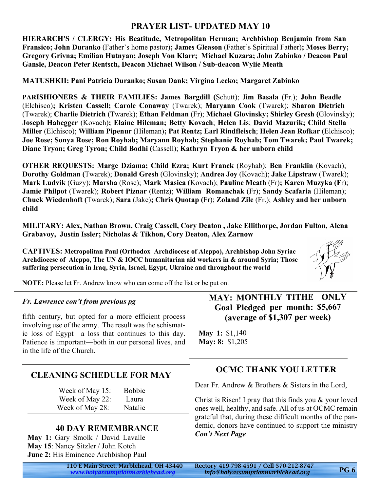#### **PRAYER LIST- UPDATED MAY 10**

**HIERARCH'S / CLERGY: His Beatitude, Metropolitan Herman; Archbishop Benjamin from San Fransico; John Duranko** (Father's home pastor)**; James Gleason** (Father's Spiritual Father)**; Moses Berry; Gregory Grivna; Emilian Hutnyan; Joseph Von Klarr; Michael Kuzara; John Zabinko / Deacon Paul Gansle, Deacon Peter Rentsch, Deacon Michael Wilson / Sub-deacon Wylie Meath**

**MATUSHKII: Pani Patricia Duranko; Susan Dank; Virgina Lecko; Margaret Zabinko**

**PARISHIONERS & THEIR FAMILIES: James Bargdill (**Schutt); J**im Basala** (Fr.); **John Beadle** (Elchisco)**; Kristen Cassell; Carole Conaway** (Twarek); **Maryann Cook** (Twarek); **Sharon Dietrich** (Twarek); **Charlie Dietrich** (Twarek); **Ethan Feldman** (Fr); **Michael Glovinsky; Shirley Gresh (**Glovinsky); **Joseph Habegger** (Kovach)**; Elaine Hileman; Betty Kovach**; **Helen Lis**; **David Mazurik; Child Stella Miller** (Elchisco); **William Pipenur** (Hileman)**; Pat Rentz; Earl Rindfleisch**; **Helen Jean Rofkar (**Elchisco); **Joe Rose; Sonya Rose; Ron Royhab; Maryann Royhab; Stephanie Royhab; Tom Twarek; Paul Twarek; Diane Tryon; Greg Tyron; Child Bodhi (**Cassell); **Kathryn Tryon & her unborn child**

**OTHER REQUESTS: Marge Dziama; Child Ezra; Kurt Franck** (Royhab); **Ben Franklin** (Kovach); **Dorothy Goldman (**Twarek); **Donald Gresh** (Glovinsky); **Andrea Joy** (Kovach); **Jake Lipstraw** (Twarek); **Mark Ludvik** (Guzy); **Marsha** (Rose); **Mark Masica (**Kovach); **Pauline Meath** (Fr)**; Karen Muzyka (F**r); **Jamie Philpot** (Twarek); **Robert Piznar** (Rentz); **William Romanchak** (Fr); **Sandy Scafaria** (Hileman); **Chuck Wiedenhoft (**Twarek); **Sara** (Jake)**; Chris Quotap (**Fr); **Zoland Zile** (Fr.); **Ashley and her unborn child**

**MILITARY: Alex, Nathan Brown, Craig Cassell, Cory Deaton , Jake Ellithorpe, Jordan Fulton, Alena Grabavoy, Justin Issler; Nicholas & Tikhon, Cory Deaton, Alex Zarnow**

**CAPTIVES: Metropolitan Paul (Orthodox Archdiocese of Aleppo), Archbishop John Syriac Archdiocese of Aleppo, The UN & IOCC humanitarian aid workers in & around Syria; Those suffering persecution in Iraq, Syria, Israel, Egypt, Ukraine and throughout the world**



**NOTE:** Please let Fr. Andrew know who can come off the list or be put on.

| Fr. Lawrence con't from previous pg<br>fifth century, but opted for a more efficient process<br>involving use of the army. The result was the schismat-<br>ic loss of Egypt—a loss that continues to this day.<br>Patience is important—both in our personal lives, and<br>in the life of the Church. | <b>MAY: MONTHLY TITHE ONLY</b><br>Goal Pledged per month: \$5,667<br>(average of \$1,307 per week)<br><b>May 1:</b> \$1,140<br>May: 8: \$1,205<br><b>OCMC THANK YOU LETTER</b><br>Dear Fr. Andrew & Brothers & Sisters in the Lord,<br>Christ is Risen! I pray that this finds you $&$ your loved<br>ones well, healthy, and safe. All of us at OCMC remain<br>grateful that, during these difficult months of the pan-<br>demic, donors have continued to support the ministry<br><b>Con't Next Page</b> |  |
|-------------------------------------------------------------------------------------------------------------------------------------------------------------------------------------------------------------------------------------------------------------------------------------------------------|-----------------------------------------------------------------------------------------------------------------------------------------------------------------------------------------------------------------------------------------------------------------------------------------------------------------------------------------------------------------------------------------------------------------------------------------------------------------------------------------------------------|--|
| <b>CLEANING SCHEDULE FOR MAY</b><br><b>Bobbie</b><br>Week of May 15:<br>Week of May 22:<br>Laura<br>Week of May 28:<br>Natalie<br><b>40 DAY REMEMBRANCE</b><br>May 1: Gary Smolk / David Lavalle<br>May 15: Nancy Sitzler / John Kotch<br><b>June 2:</b> His Eminence Archbishop Paul                 |                                                                                                                                                                                                                                                                                                                                                                                                                                                                                                           |  |
| 110 E Main Street, Marblehead, OH 43440<br>www.holyassumptionmarblehead.org                                                                                                                                                                                                                           | Rectory 419-798-4591 / Cell 570-212-8747<br><b>PG6</b><br>info@holyassumptionmarblehead.org                                                                                                                                                                                                                                                                                                                                                                                                               |  |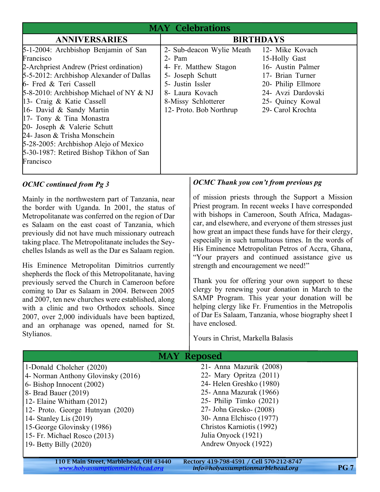| <b>MAY Celebrations</b>                                                                                                                                                                                                                                                                                                                                                                                                                                            |                                                                                                                                                                                           |                                                                                                                                             |
|--------------------------------------------------------------------------------------------------------------------------------------------------------------------------------------------------------------------------------------------------------------------------------------------------------------------------------------------------------------------------------------------------------------------------------------------------------------------|-------------------------------------------------------------------------------------------------------------------------------------------------------------------------------------------|---------------------------------------------------------------------------------------------------------------------------------------------|
| <b>ANNIVERSARIES</b>                                                                                                                                                                                                                                                                                                                                                                                                                                               | <b>BIRTHDAYS</b>                                                                                                                                                                          |                                                                                                                                             |
| 5-1-2004: Archbishop Benjamin of San<br>Francisco<br>2-Archpriest Andrew (Priest ordination)<br>5-5-2012: Archbishop Alexander of Dallas<br>6- Fred & Teri Cassell<br>5-8-2010: Archbishop Michael of NY & NJ<br>13- Craig & Katie Cassell<br>16- David & Sandy Martin<br>17- Tony & Tina Monastra<br>20- Joseph & Valerie Schutt<br>24- Jason & Trisha Monschein<br>5-28-2005: Archbishop Alejo of Mexico<br>5-30-1987: Retired Bishop Tikhon of San<br>Francisco | 2- Sub-deacon Wylie Meath 12- Mike Kovach<br>2- Pam<br>4- Fr. Matthew Stagon<br>5- Joseph Schutt<br>5- Justin Issler<br>8- Laura Kovach<br>8-Missy Schlotterer<br>12- Proto. Bob Northrup | 15-Holly Gast<br>16- Austin Palmer<br>17- Brian Turner<br>20- Philip Ellmore<br>24- Avzi Dardovski<br>25- Quincy Kowal<br>29- Carol Krochta |

#### *OCMC continued from Pg 3*

Mainly in the northwestern part of Tanzania, near the border with Uganda. In 2001, the status of Metropolitanate was conferred on the region of Dar es Salaam on the east coast of Tanzania, which previously did not have much missionary outreach taking place. The Metropolitanate includes the Seychelles Islands as well as the Dar es Salaam region.

His Eminence Metropolitan Dimitrios currently shepherds the flock of this Metropolitanate, having previously served the Church in Cameroon before coming to Dar es Salaam in 2004. Between 2005 and 2007, ten new churches were established, along with a clinic and two Orthodox schools. Since 2007, over 2,000 individuals have been baptized, and an orphanage was opened, named for St. Stylianos.

#### *OCMC Thank you con't from previous pg*

of mission priests through the Support a Mission Priest program. In recent weeks I have corresponded with bishops in Cameroon, South Africa, Madagascar, and elsewhere, and everyone of them stresses just how great an impact these funds have for their clergy, especially in such tumultuous times. In the words of His Eminence Metropolitan Petros of Accra, Ghana, "Your prayers and continued assistance give us strength and encouragement we need!"

Thank you for offering your own support to these clergy by renewing your donation in March to the SAMP Program. This year your donation will be helping clergy like Fr. Frumentios in the Metropolis of Dar Es Salaam, Tanzania, whose biography sheet I have enclosed.

Yours in Christ, Markella Balasis

| <b>MAY Reposed</b>                 |                           |  |
|------------------------------------|---------------------------|--|
| 1-Donald Cholcher (2020)           | 21- Anna Mazurik (2008)   |  |
| 4- Norman Anthony Glovinsky (2016) | 22- Mary Opritza (2011)   |  |
| $6 - Bishop$ Innocent $(2002)$     | 24- Helen Greshko (1980)  |  |
| $8-$ Brad Bauer $(2019)$           | 25 - Anna Mazurak (1966)  |  |
| 12- Elaine Whitham (2012)          | 25- Philip Timko (2021)   |  |
| 12- Proto. George Hutnyan (2020)   | 27- John Gresko- (2008)   |  |
| 14- Stanley Lis $(2019)$           | 30- Anna Elchisco (1977)  |  |
| 15-George Glovinsky (1986)         | Christos Karniotis (1992) |  |
| 15- Fr. Michael Rosco (2013)       | Julia Onyock (1921)       |  |
| 19- Betty Billy $(2020)$           | Andrew Onyock (1922)      |  |
|                                    |                           |  |